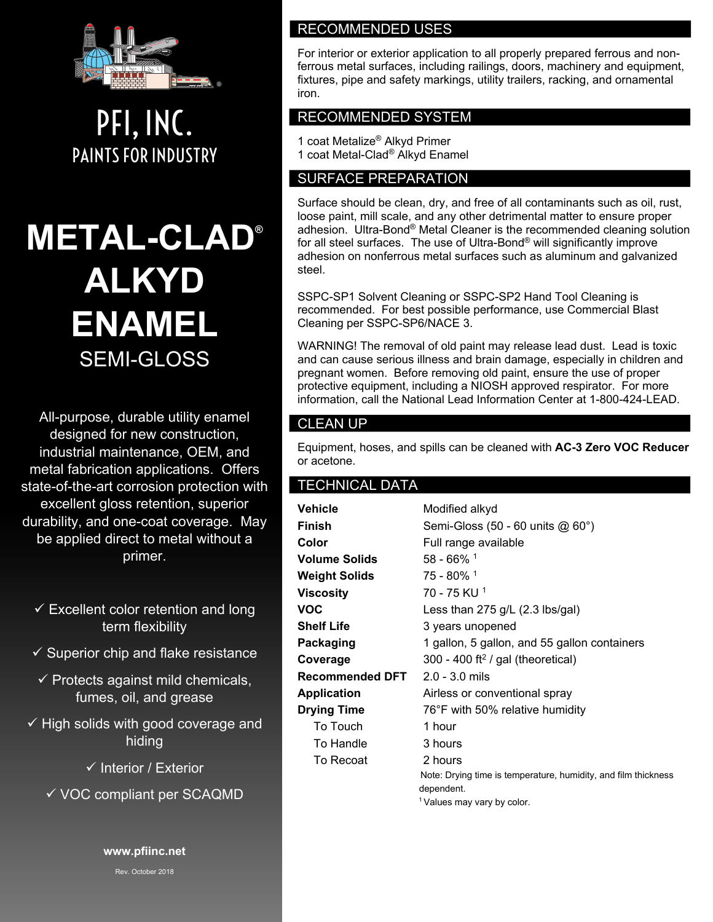

PFI, INC. PAINTS FOR INDUSTRY

# **METAL-CLAD® ALKYD ENAMEL** SEMI-GLOSS

All-purpose, durable utility enamel designed for new construction, industrial maintenance, OEM, and metal fabrication applications. Offers state-of-the-art corrosion protection with excellent gloss retention, superior durability, and one-coat coverage. May be applied direct to metal without a primer.

- $\checkmark$  Excellent color retention and long term flexibility
- $\checkmark$  Superior chip and flake resistance
- $\checkmark$  Protects against mild chemicals, fumes, oil, and grease
- $\checkmark$  High solids with good coverage and hiding
	- $\checkmark$  Interior / Exterior
	- $\checkmark$  VOC compliant per SCAQMD

**www.pfiinc.net**

Rev. October 2018

# RECOMMENDED USES

For interior or exterior application to all properly prepared ferrous and nonferrous metal surfaces, including railings, doors, machinery and equipment, fixtures, pipe and safety markings, utility trailers, racking, and ornamental iron.

# RECOMMENDED SYSTEM

1 coat Metalize® Alkyd Primer 1 coat Metal-Clad® Alkyd Enamel

## SURFACE PREPARATION

Surface should be clean, dry, and free of all contaminants such as oil, rust, loose paint, mill scale, and any other detrimental matter to ensure proper adhesion. Ultra-Bond® Metal Cleaner is the recommended cleaning solution for all steel surfaces. The use of Ultra-Bond® will significantly improve adhesion on nonferrous metal surfaces such as aluminum and galvanized steel.

SSPC-SP1 Solvent Cleaning or SSPC-SP2 Hand Tool Cleaning is recommended. For best possible performance, use Commercial Blast Cleaning per SSPC-SP6/NACE 3.

WARNING! The removal of old paint may release lead dust. Lead is toxic and can cause serious illness and brain damage, especially in children and pregnant women. Before removing old paint, ensure the use of proper protective equipment, including a NIOSH approved respirator. For more information, call the National Lead Information Center at 1-800-424-LEAD.

#### CLEAN UP

Equipment, hoses, and spills can be cleaned with **AC-3 Zero VOC Reducer** or acetone.

#### TECHNICAL DATA

| Vehicle              | Modified alkyd                                                               |  |
|----------------------|------------------------------------------------------------------------------|--|
| Finish               | Semi-Gloss (50 - 60 units @ 60°)                                             |  |
| Color                | Full range available                                                         |  |
| <b>Volume Solids</b> | $58 - 66\%$ <sup>1</sup>                                                     |  |
| Weight Solids        | 75 - 80% 1                                                                   |  |
| Viscosity            | 70 - 75 KU <sup>1</sup>                                                      |  |
| VOC                  | Less than $275$ g/L (2.3 lbs/gal)                                            |  |
| Shelf Life           | 3 years unopened                                                             |  |
| Packaging            | 1 gallon, 5 gallon, and 55 gallon containers                                 |  |
| Coverage             | 300 - 400 ft <sup>2</sup> / gal (theoretical)                                |  |
| Recommended DFT      | 2.0 - 3.0 mils                                                               |  |
| Application          | Airless or conventional spray                                                |  |
| <b>Drying Time</b>   | 76°F with 50% relative humidity                                              |  |
| To Touch             | 1 hour                                                                       |  |
| To Handle            | 3 hours                                                                      |  |
| To Recoat            | 2 hours                                                                      |  |
|                      | Note: Drying time is temperature, humidity, and film thickness<br>dependent. |  |
|                      | <sup>1</sup> Values may vary by color.                                       |  |